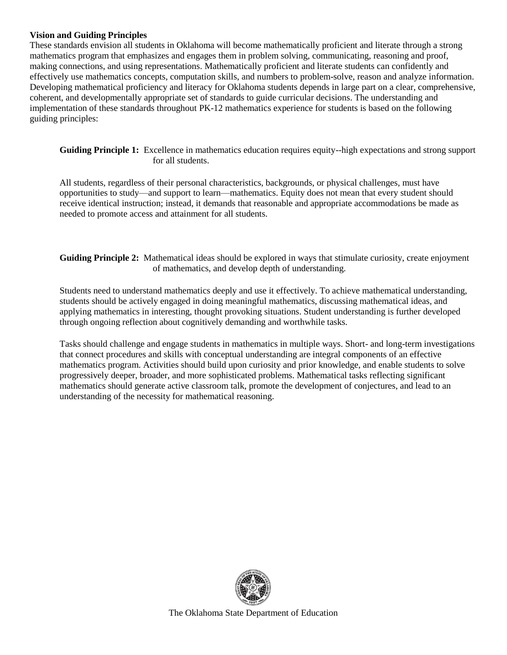#### **Vision and Guiding Principles**

These standards envision all students in Oklahoma will become mathematically proficient and literate through a strong mathematics program that emphasizes and engages them in problem solving, communicating, reasoning and proof, making connections, and using representations. Mathematically proficient and literate students can confidently and effectively use mathematics concepts, computation skills, and numbers to problem-solve, reason and analyze information. Developing mathematical proficiency and literacy for Oklahoma students depends in large part on a clear, comprehensive, coherent, and developmentally appropriate set of standards to guide curricular decisions. The understanding and implementation of these standards throughout PK-12 mathematics experience for students is based on the following guiding principles:

**Guiding Principle 1:** Excellence in mathematics education requires equity--high expectations and strong support for all students.

All students, regardless of their personal characteristics, backgrounds, or physical challenges, must have opportunities to study—and support to learn—mathematics. Equity does not mean that every student should receive identical instruction; instead, it demands that reasonable and appropriate accommodations be made as needed to promote access and attainment for all students.

**Guiding Principle 2:** Mathematical ideas should be explored in ways that stimulate curiosity, create enjoyment of mathematics, and develop depth of understanding.

Students need to understand mathematics deeply and use it effectively. To achieve mathematical understanding, students should be actively engaged in doing meaningful mathematics, discussing mathematical ideas, and applying mathematics in interesting, thought provoking situations. Student understanding is further developed through ongoing reflection about cognitively demanding and worthwhile tasks.

Tasks should challenge and engage students in mathematics in multiple ways. Short- and long-term investigations that connect procedures and skills with conceptual understanding are integral components of an effective mathematics program. Activities should build upon curiosity and prior knowledge, and enable students to solve progressively deeper, broader, and more sophisticated problems. Mathematical tasks reflecting significant mathematics should generate active classroom talk, promote the development of conjectures, and lead to an understanding of the necessity for mathematical reasoning.

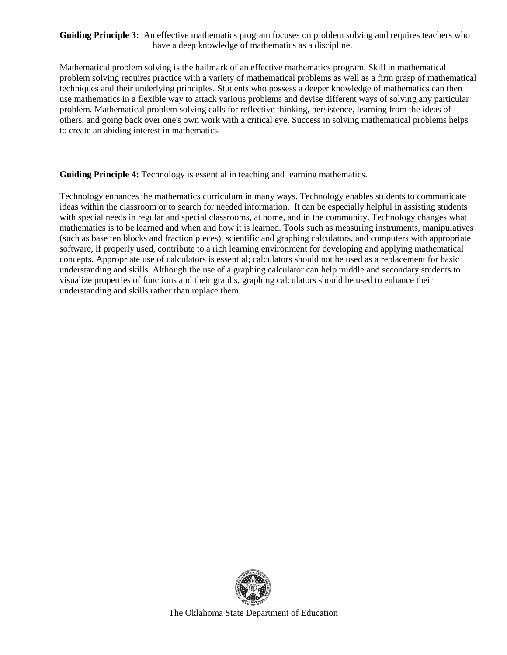#### **Guiding Principle 3:** An effective mathematics program focuses on problem solving and requires teachers who have a deep knowledge of mathematics as a discipline.

Mathematical problem solving is the hallmark of an effective mathematics program. Skill in mathematical problem solving requires practice with a variety of mathematical problems as well as a firm grasp of mathematical techniques and their underlying principles. Students who possess a deeper knowledge of mathematics can then use mathematics in a flexible way to attack various problems and devise different ways of solving any particular problem. Mathematical problem solving calls for reflective thinking, persistence, learning from the ideas of others, and going back over one's own work with a critical eye. Success in solving mathematical problems helps to create an abiding interest in mathematics.

**Guiding Principle 4:** Technology is essential in teaching and learning mathematics.

Technology enhances the mathematics curriculum in many ways. Technology enables students to communicate ideas within the classroom or to search for needed information. It can be especially helpful in assisting students with special needs in regular and special classrooms, at home, and in the community. Technology changes what mathematics is to be learned and when and how it is learned. Tools such as measuring instruments, manipulatives (such as base ten blocks and fraction pieces), scientific and graphing calculators, and computers with appropriate software, if properly used, contribute to a rich learning environment for developing and applying mathematical concepts. Appropriate use of calculators is essential; calculators should not be used as a replacement for basic understanding and skills. Although the use of a graphing calculator can help middle and secondary students to visualize properties of functions and their graphs, graphing calculators should be used to enhance their understanding and skills rather than replace them.

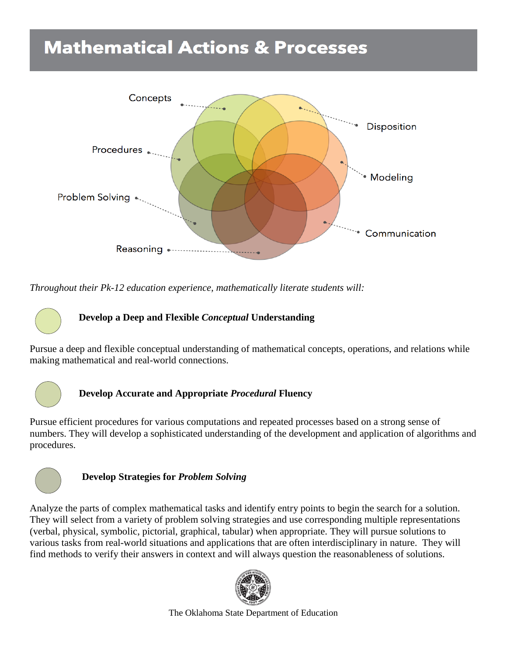# **Mathematical Actions & Processes**



*Throughout their Pk-12 education experience, mathematically literate students will:*

# **Develop a Deep and Flexible** *Conceptual* **Understanding**

Pursue a deep and flexible conceptual understanding of mathematical concepts, operations, and relations while making mathematical and real-world connections.



# **Develop Accurate and Appropriate** *Procedural* **Fluency**

Pursue efficient procedures for various computations and repeated processes based on a strong sense of numbers. They will develop a sophisticated understanding of the development and application of algorithms and procedures.



# **Develop Strategies for** *Problem Solving*

Analyze the parts of complex mathematical tasks and identify entry points to begin the search for a solution. They will select from a variety of problem solving strategies and use corresponding multiple representations (verbal, physical, symbolic, pictorial, graphical, tabular) when appropriate. They will pursue solutions to various tasks from real-world situations and applications that are often interdisciplinary in nature. They will find methods to verify their answers in context and will always question the reasonableness of solutions.